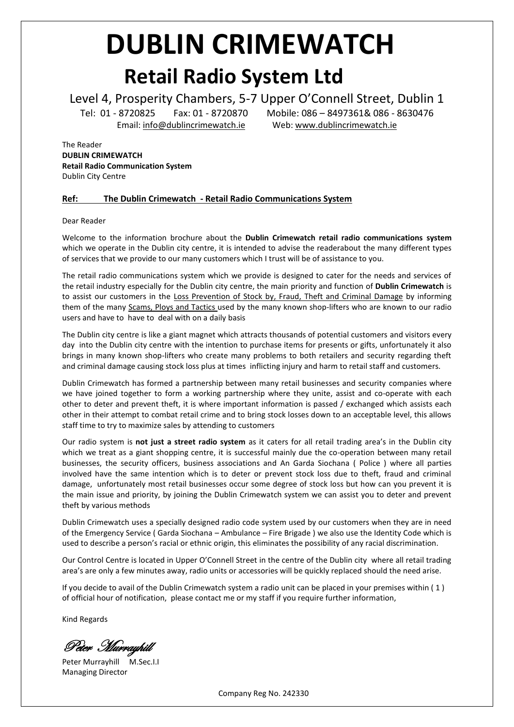# **DUBLIN CRIMEWATCH Retail Radio System Ltd**

Level 4, Prosperity Chambers, 5-7 Upper O'Connell Street, Dublin 1

Tel: 01 - 8720825 Fax: 01 - 8720870 Mobile: 086 – 8497361& 086 - 8630476 Email[: info@dublincrimewatch.ie](mailto:info@dublincrimewatch.ie) Web: [www.dublincrimewatch.ie](http://www.dublincrimewatch.ie/)

The Reader **DUBLIN CRIMEWATCH Retail Radio Communication System** Dublin City Centre

#### **Ref: The Dublin Crimewatch - Retail Radio Communications System**

Dear Reader

Welcome to the information brochure about the **Dublin Crimewatch retail radio communications system** which we operate in the Dublin city centre, it is intended to advise the readerabout the many different types of services that we provide to our many customers which I trust will be of assistance to you.

The retail radio communications system which we provide is designed to cater for the needs and services of the retail industry especially for the Dublin city centre, the main priority and function of **Dublin Crimewatch** is to assist our customers in the Loss Prevention of Stock by, Fraud, Theft and Criminal Damage by informing them of the many Scams, Ploys and Tactics used by the many known shop-lifters who are known to our radio users and have to have to deal with on a daily basis

The Dublin city centre is like a giant magnet which attracts thousands of potential customers and visitors every day into the Dublin city centre with the intention to purchase items for presents or gifts, unfortunately it also brings in many known shop-lifters who create many problems to both retailers and security regarding theft and criminal damage causing stock loss plus at times inflicting injury and harm to retail staff and customers.

Dublin Crimewatch has formed a partnership between many retail businesses and security companies where we have joined together to form a working partnership where they unite, assist and co-operate with each other to deter and prevent theft, it is where important information is passed / exchanged which assists each other in their attempt to combat retail crime and to bring stock losses down to an acceptable level, this allows staff time to try to maximize sales by attending to customers

Our radio system is **not just a street radio system** as it caters for all retail trading area's in the Dublin city which we treat as a giant shopping centre, it is successful mainly due the co-operation between many retail businesses, the security officers, business associations and An Garda Siochana ( Police ) where all parties involved have the same intention which is to deter or prevent stock loss due to theft, fraud and criminal damage, unfortunately most retail businesses occur some degree of stock loss but how can you prevent it is the main issue and priority, by joining the Dublin Crimewatch system we can assist you to deter and prevent theft by various methods

Dublin Crimewatch uses a specially designed radio code system used by our customers when they are in need of the Emergency Service ( Garda Siochana – Ambulance – Fire Brigade ) we also use the Identity Code which is used to describe a person's racial or ethnic origin, this eliminates the possibility of any racial discrimination.

Our Control Centre is located in Upper O'Connell Street in the centre of the Dublin city where all retail trading area's are only a few minutes away, radio units or accessories will be quickly replaced should the need arise.

If you decide to avail of the Dublin Crimewatch system a radio unit can be placed in your premises within ( 1 ) of official hour of notification, please contact me or my staff if you require further information,

Kind Regards

Peter Murrayhill

Peter Murrayhill M.Sec.I.I Managing Director

Company Reg No. 242330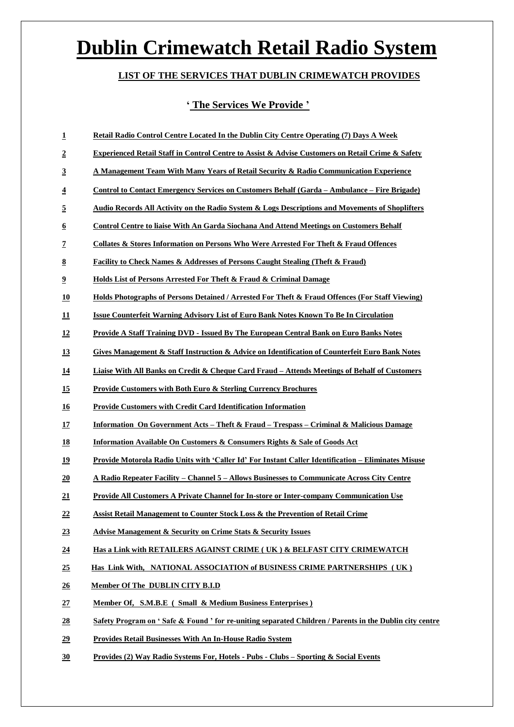# **Dublin Crimewatch Retail Radio System**

### **LIST OF THE SERVICES THAT DUBLIN CRIMEWATCH PROVIDES**

#### **' The Services We Provide '**

| $\overline{1}$            | Retail Radio Control Centre Located In the Dublin City Centre Operating (7) Days A Week                       |
|---------------------------|---------------------------------------------------------------------------------------------------------------|
| $\overline{2}$            | Experienced Retail Staff in Control Centre to Assist & Advise Customers on Retail Crime & Safety              |
| $\overline{3}$            | A Management Team With Many Years of Retail Security & Radio Communication Experience                         |
| $\overline{4}$            | <u>Control to Contact Emergency Services on Customers Behalf (Garda – Ambulance – Fire Brigade)</u>           |
| $\overline{5}$            | <b>Audio Records All Activity on the Radio System &amp; Logs Descriptions and Movements of Shoplifters</b>    |
| $\underline{6}$           | <b>Control Centre to liaise With An Garda Siochana And Attend Meetings on Customers Behalf</b>                |
| $\overline{1}$            | Collates & Stores Information on Persons Who Were Arrested For Theft & Fraud Offences                         |
| 8                         | <b>Facility to Check Names &amp; Addresses of Persons Caught Stealing (Theft &amp; Fraud)</b>                 |
| $\overline{\mathbf{2}}$   | <b>Holds List of Persons Arrested For Theft &amp; Fraud &amp; Criminal Damage</b>                             |
| <u>10</u>                 | <b>Holds Photographs of Persons Detained / Arrested For Theft &amp; Fraud Offences (For Staff Viewing)</b>    |
| $\mathbf{\underline{11}}$ | <b>Issue Counterfeit Warning Advisory List of Euro Bank Notes Known To Be In Circulation</b>                  |
| <u>12</u>                 | <u> Provide A Staff Training DVD - Issued By The European Central Bank on Euro Banks Notes</u>                |
| <u>13</u>                 | <b>Gives Management &amp; Staff Instruction &amp; Advice on Identification of Counterfeit Euro Bank Notes</b> |
| <u>14</u>                 | Liaise With All Banks on Credit & Cheque Card Fraud - Attends Meetings of Behalf of Customers                 |
| <u>15</u>                 | <b>Provide Customers with Both Euro &amp; Sterling Currency Brochures</b>                                     |
| <u>16</u>                 | <b>Provide Customers with Credit Card Identification Information</b>                                          |
| <u>17</u>                 | <b>Information On Government Acts – Theft &amp; Fraud – Trespass – Criminal &amp; Malicious Damage</b>        |
| <u>18</u>                 | <b>Information Available On Customers &amp; Consumers Rights &amp; Sale of Goods Act</b>                      |
| 19                        | Provide Motorola Radio Units with 'Caller Id' For Instant Caller Identification - Eliminates Misuse           |
| 20                        | <u> A Radio Repeater Facility – Channel 5 – Allows Businesses to Communicate Across City Centre</u>           |
| 21                        | <u>Provide All Customers A Private Channel for In-store or Inter-company Communication Use</u>                |
| $\overline{22}$           | Assist Retail Management to Counter Stock Loss & the Prevention of Retail Crime                               |
| 23                        | <b>Advise Management &amp; Security on Crime Stats &amp; Security Issues</b>                                  |
| 24                        | Has a Link with RETAILERS AGAINST CRIME (UK) & BELFAST CITY CRIMEWATCH                                        |
| 25                        | Has Link With, NATIONAL ASSOCIATION of BUSINESS CRIME PARTNERSHIPS (UK)                                       |
| $\overline{26}$           | Member Of The DUBLIN CITY B.I.D                                                                               |
| 27                        | Member Of, S.M.B.E (Small & Medium Business Enterprises)                                                      |
| 28                        | Safety Program on 'Safe & Found ' for re-uniting separated Children / Parents in the Dublin city centre       |
| 29                        | <b>Provides Retail Businesses With An In-House Radio System</b>                                               |
| 30                        | Provides (2) Way Radio Systems For, Hotels - Pubs - Clubs - Sporting & Social Events                          |
|                           |                                                                                                               |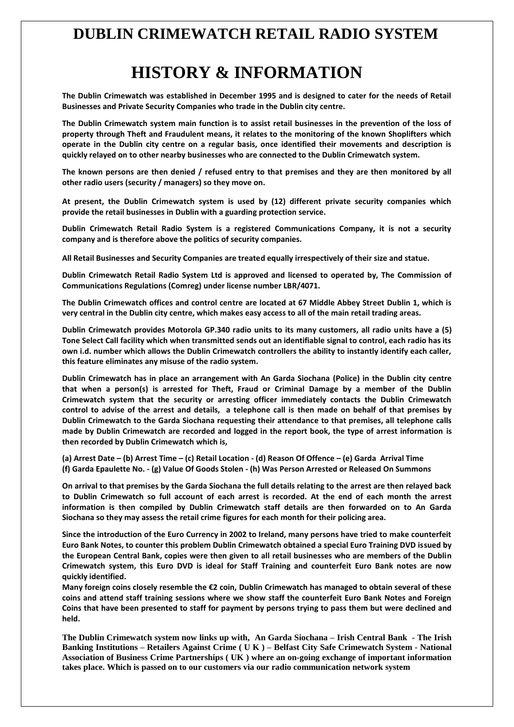## **DUBLIN CRIMEWATCH RETAIL RADIO SYSTEM**

# **HISTORY & INFORMATION**

**The Dublin Crimewatch was established in December 1995 and is designed to cater for the needs of Retail Businesses and Private Security Companies who trade in the Dublin city centre.**

**The Dublin Crimewatch system main function is to assist retail businesses in the prevention of the loss of property through Theft and Fraudulent means, it relates to the monitoring of the known Shoplifters which operate in the Dublin city centre on a regular basis, once identified their movements and description is quickly relayed on to other nearby businesses who are connected to the Dublin Crimewatch system.**

**The known persons are then denied / refused entry to that premises and they are then monitored by all other radio users (security / managers) so they move on.**

**At present, the Dublin Crimewatch system is used by (12) different private security companies which provide the retail businesses in Dublin with a guarding protection service.**

**Dublin Crimewatch Retail Radio System is a registered Communications Company, it is not a security company and is therefore above the politics of security companies.**

**All Retail Businesses and Security Companies are treated equally irrespectively of their size and statue.**

**Dublin Crimewatch Retail Radio System Ltd is approved and licensed to operated by, The Commission of Communications Regulations (Comreg) under license number LBR/4071.**

**The Dublin Crimewatch offices and control centre are located at 67 Middle Abbey Street Dublin 1, which is very central in the Dublin city centre, which makes easy access to all of the main retail trading areas.**

**Dublin Crimewatch provides Motorola GP.340 radio units to its many customers, all radio units have a (5) Tone Select Call facility which when transmitted sends out an identifiable signal to control, each radio has its own i.d. number which allows the Dublin Crimewatch controllers the ability to instantly identify each caller, this feature eliminates any misuse of the radio system.**

**Dublin Crimewatch has in place an arrangement with An Garda Siochana (Police) in the Dublin city centre that when a person(s) is arrested for Theft, Fraud or Criminal Damage by a member of the Dublin Crimewatch system that the security or arresting officer immediately contacts the Dublin Crimewatch control to advise of the arrest and details, a telephone call is then made on behalf of that premises by Dublin Crimewatch to the Garda Siochana requesting their attendance to that premises, all telephone calls made by Dublin Crimewatch are recorded and logged in the report book, the type of arrest information is then recorded by Dublin Crimewatch which is,**

**(a) Arrest Date – (b) Arrest Time – (c) Retail Location - (d) Reason Of Offence – (e) Garda Arrival Time (f) Garda Epaulette No. - (g) Value Of Goods Stolen - (h) Was Person Arrested or Released On Summons**

**On arrival to that premises by the Garda Siochana the full details relating to the arrest are then relayed back to Dublin Crimewatch so full account of each arrest is recorded. At the end of each month the arrest information is then compiled by Dublin Crimewatch staff details are then forwarded on to An Garda Siochana so they may assess the retail crime figures for each month for their policing area.**

**Since the introduction of the Euro Currency in 2002 to Ireland, many persons have tried to make counterfeit Euro Bank Notes, to counter this problem Dublin Crimewatch obtained a special Euro Training DVD issued by the European Central Bank, copies were then given to all retail businesses who are members of the Dublin Crimewatch system, this Euro DVD is ideal for Staff Training and counterfeit Euro Bank notes are now quickly identified.**

**Many foreign coins closely resemble the €2 coin, Dublin Crimewatch has managed to obtain several of these coins and attend staff training sessions where we show staff the counterfeit Euro Bank Notes and Foreign Coins that have been presented to staff for payment by persons trying to pass them but were declined and held.**

**The Dublin Crimewatch system now links up with, An Garda Siochana – Irish Central Bank - The Irish Banking Institutions – Retailers Against Crime ( U K ) – Belfast City Safe Crimewatch System - National Association of Business Crime Partnerships ( UK ) where an on-going exchange of important information takes place. Which is passed on to our customers via our radio communication network system**